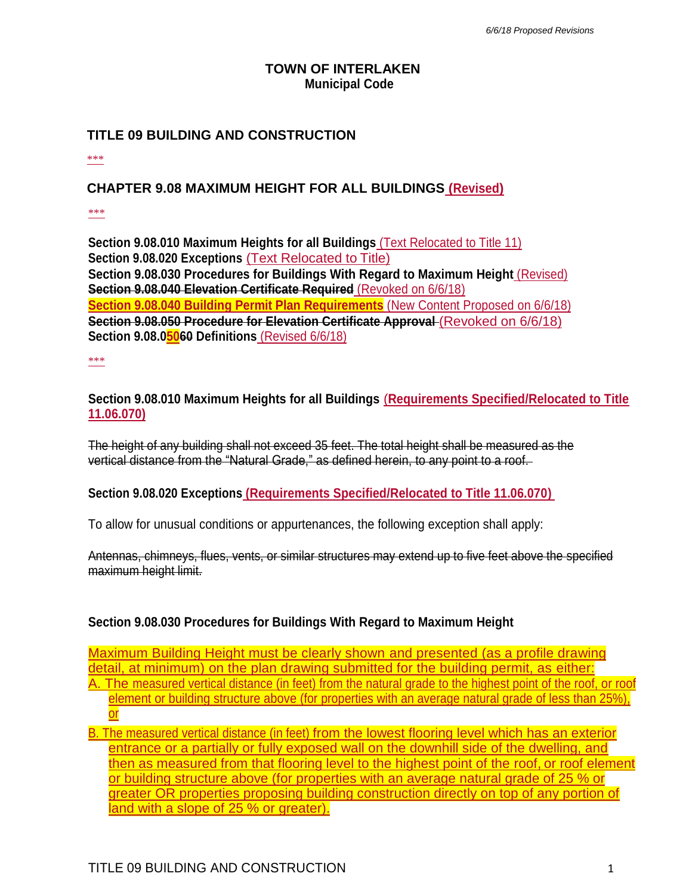### **TOWN OF INTERLAKEN Municipal Code**

## **TITLE 09 BUILDING AND CONSTRUCTION**

\*\*\*

### **CHAPTER 9.08 MAXIMUM HEIGHT FOR ALL BUILDINGS (Revised)**

\*\*\*

**Section 9.08.010 Maximum Heights for all Buildings** (Text Relocated to Title 11) **Section 9.08.020 Exceptions** (Text Relocated to Title) **Section 9.08.030 Procedures for Buildings With Regard to Maximum Height** (Revised) **Section 9.08.040 Elevation Certificate Required** (Revoked on 6/6/18) **Section 9.08.040 Building Permit Plan Requirements** (New Content Proposed on 6/6/18) **Section 9.08.050 Procedure for Elevation Certificate Approval** (Revoked on 6/6/18) **Section 9.08.05060 Definitions** (Revised 6/6/18)

\*\*\*

**Section 9.08.010 Maximum Heights for all Buildings** (**Requirements Specified/Relocated to Title 11.06.070)**

The height of any building shall not exceed 35 feet. The total height shall be measured as the vertical distance from the "Natural Grade," as defined herein, to any point to a roof.

#### **Section 9.08.020 Exceptions (Requirements Specified/Relocated to Title 11.06.070)**

To allow for unusual conditions or appurtenances, the following exception shall apply:

Antennas, chimneys, flues, vents, or similar structures may extend up to five feet above the specified maximum height limit.

#### **Section 9.08.030 Procedures for Buildings With Regard to Maximum Height**

Maximum Building Height must be clearly shown and presented (as a profile drawing detail, at minimum) on the plan drawing submitted for the building permit, as either: A. The measured vertical distance (in feet) from the natural grade to the highest point of the roof, or roof element or building structure above (for properties with an average natural grade of less than 25%), or

B. The measured vertical distance (in feet) from the lowest flooring level which has an exterior entrance or a partially or fully exposed wall on the downhill side of the dwelling, and then as measured from that flooring level to the highest point of the roof, or roof element or building structure above (for properties with an average natural grade of 25 % or greater OR properties proposing building construction directly on top of any portion of land with a slope of 25 % or greater).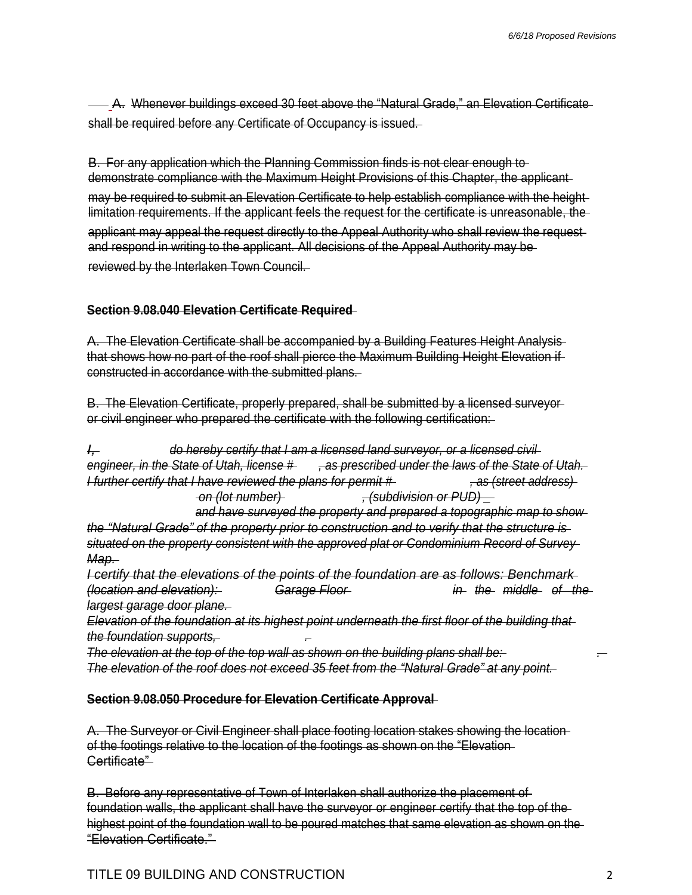A. Whenever buildings exceed 30 feet above the "Natural Grade," an Elevation Certificate shall be required before any Certificate of Occupancy is issued.

B. For any application which the Planning Commission finds is not clear enough to demonstrate compliance with the Maximum Height Provisions of this Chapter, the applicant may be required to submit an Elevation Certificate to help establish compliance with the height limitation requirements. If the applicant feels the request for the certificate is unreasonable, the applicant may appeal the request directly to the Appeal Authority who shall review the request and respond in writing to the applicant. All decisions of the Appeal Authority may be reviewed by the Interlaken Town Council.

# **Section 9.08.040 Elevation Certificate Required**

A. The Elevation Certificate shall be accompanied by a Building Features Height Analysis that shows how no part of the roof shall pierce the Maximum Building Height Elevation if constructed in accordance with the submitted plans.

B. The Elevation Certificate, properly prepared, shall be submitted by a licensed surveyor or civil engineer who prepared the certificate with the following certification:

*I, do hereby certify that I am a licensed land surveyor, or a licensed civil* engineer, in the State of Utah, license #, as prescribed under the laws of the State of Utah. *I further certify that I have reviewed the plans for permit # , as (street address) on (lot number) , (subdivision or PUD) \_*

*and have surveyed the property and prepared a topographic map to show the "Natural Grade" of the property prior to construction and to verify that the structure is situated on the property consistent with the approved plat or Condominium Record of Survey Map.*

*I certify that the elevations of the points of the foundation are as follows: Benchmark (location and elevation): Garage Floor in the middle of the largest garage door plane.*

*Elevation of the foundation at its highest point underneath the first floor of the building that the foundation supports, .*

*The elevation at the top of the top wall as shown on the building plans shall be: . The elevation of the roof does not exceed 35 feet from the "Natural Grade" at any point.*

## **Section 9.08.050 Procedure for Elevation Certificate Approval**

A. The Surveyor or Civil Engineer shall place footing location stakes showing the location of the footings relative to the location of the footings as shown on the "Elevation Certificate"

B. Before any representative of Town of Interlaken shall authorize the placement of foundation walls, the applicant shall have the surveyor or engineer certify that the top of the highest point of the foundation wall to be poured matches that same elevation as shown on the "Elevation Certificate."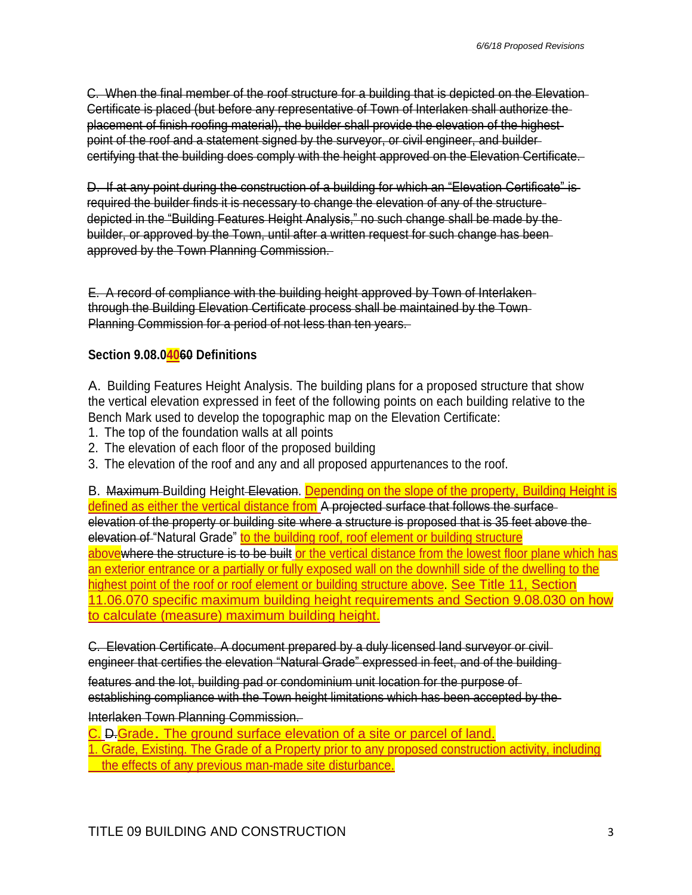C. When the final member of the roof structure for a building that is depicted on the Elevation Certificate is placed (but before any representative of Town of Interlaken shall authorize the placement of finish roofing material), the builder shall provide the elevation of the highest point of the roof and a statement signed by the surveyor, or civil engineer, and builder certifying that the building does comply with the height approved on the Elevation Certificate.

D. If at any point during the construction of a building for which an "Elevation Certificate" is required the builder finds it is necessary to change the elevation of any of the structure depicted in the "Building Features Height Analysis," no such change shall be made by the builder, or approved by the Town, until after a written request for such change has been approved by the Town Planning Commission.

E. A record of compliance with the building height approved by Town of Interlaken through the Building Elevation Certificate process shall be maintained by the Town Planning Commission for a period of not less than ten years.

# **Section 9.08.04060 Definitions**

A. Building Features Height Analysis. The building plans for a proposed structure that show the vertical elevation expressed in feet of the following points on each building relative to the Bench Mark used to develop the topographic map on the Elevation Certificate:

- 1. The top of the foundation walls at all points
- 2. The elevation of each floor of the proposed building
- 3. The elevation of the roof and any and all proposed appurtenances to the roof.

B. Maximum-Building Height-Elevation. Depending on the slope of the property, Building Height is defined as either the vertical distance from A projected surface that follows the surface elevation of the property or building site where a structure is proposed that is 35 feet above the elevation of "Natural Grade" to the building roof, roof element or building structure abovewhere the structure is to be built or the vertical distance from the lowest floor plane which has an exterior entrance or a partially or fully exposed wall on the downhill side of the dwelling to the highest point of the roof or roof element or building structure above. See Title 11, Section 11.06.070 specific maximum building height requirements and Section 9.08.030 on how to calculate (measure) maximum building height.

C. Elevation Certificate. A document prepared by a duly licensed land surveyor or civil engineer that certifies the elevation "Natural Grade" expressed in feet, and of the building

features and the lot, building pad or condominium unit location for the purpose of establishing compliance with the Town height limitations which has been accepted by the

#### Interlaken Town Planning Commission.

C. D.Grade. The ground surface elevation of a site or parcel of land.

1. Grade, Existing. The Grade of a Property prior to any proposed construction activity, including the effects of any previous man-made site disturbance.